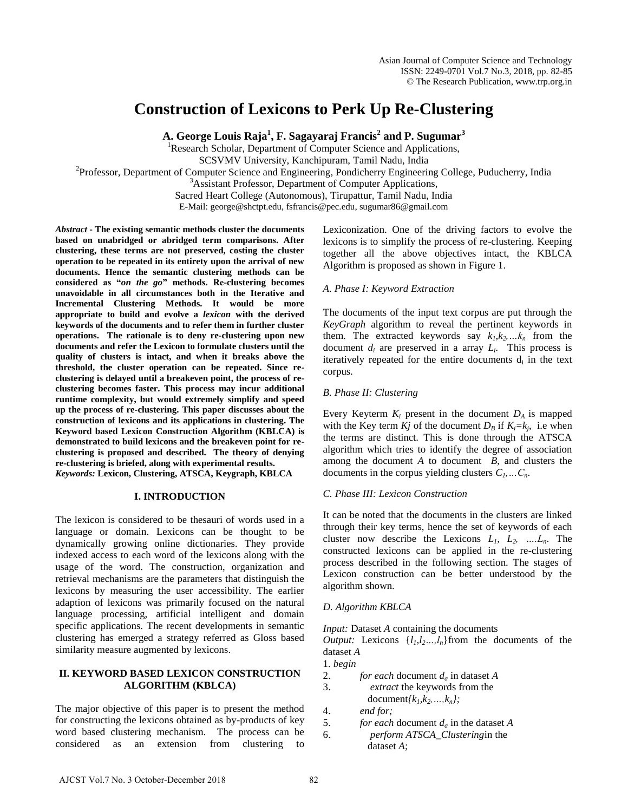# **Construction of Lexicons to Perk Up Re-Clustering**

**A. George Louis Raja<sup>1</sup> , F. Sagayaraj Francis<sup>2</sup> and P. Sugumar<sup>3</sup>**

<sup>1</sup>Research Scholar, Department of Computer Science and Applications,

SCSVMV University, Kanchipuram, Tamil Nadu, India

<sup>2</sup>Professor, Department of Computer Science and Engineering, Pondicherry Engineering College, Puducherry, India

<sup>3</sup>Assistant Professor, Department of Computer Applications,

Sacred Heart College (Autonomous), Tirupattur, Tamil Nadu, India

E-Mail: george@shctpt.edu, fsfrancis@pec.edu, sugumar86@gmail.com

*Abstract* **- The existing semantic methods cluster the documents based on unabridged or abridged term comparisons. After clustering, these terms are not preserved, costing the cluster operation to be repeated in its entirety upon the arrival of new documents. Hence the semantic clustering methods can be considered as "***on the go***" methods. Re-clustering becomes unavoidable in all circumstances both in the Iterative and Incremental Clustering Methods. It would be more appropriate to build and evolve a** *lexicon* **with the derived keywords of the documents and to refer them in further cluster operations. The rationale is to deny re-clustering upon new documents and refer the Lexicon to formulate clusters until the quality of clusters is intact, and when it breaks above the threshold, the cluster operation can be repeated. Since reclustering is delayed until a breakeven point, the process of reclustering becomes faster. This process may incur additional runtime complexity, but would extremely simplify and speed up the process of re-clustering. This paper discusses about the construction of lexicons and its applications in clustering. The Keyword based Lexicon Construction Algorithm (KBLCA) is demonstrated to build lexicons and the breakeven point for reclustering is proposed and described. The theory of denying re-clustering is briefed, along with experimental results.**  *Keywords:* **Lexicon, Clustering, ATSCA, Keygraph, KBLCA**

# **I. INTRODUCTION**

The lexicon is considered to be thesauri of words used in a language or domain. Lexicons can be thought to be dynamically growing online dictionaries. They provide indexed access to each word of the lexicons along with the usage of the word. The construction, organization and retrieval mechanisms are the parameters that distinguish the lexicons by measuring the user accessibility. The earlier adaption of lexicons was primarily focused on the natural language processing, artificial intelligent and domain specific applications. The recent developments in semantic clustering has emerged a strategy referred as Gloss based similarity measure augmented by lexicons.

## **II. KEYWORD BASED LEXICON CONSTRUCTION ALGORITHM (KBLCA)**

The major objective of this paper is to present the method for constructing the lexicons obtained as by-products of key word based clustering mechanism. The process can be considered as an extension from clustering to Lexiconization. One of the driving factors to evolve the lexicons is to simplify the process of re-clustering. Keeping together all the above objectives intact, the KBLCA Algorithm is proposed as shown in Figure 1.

# *A. Phase I: Keyword Extraction*

The documents of the input text corpus are put through the *KeyGraph* algorithm to reveal the pertinent keywords in them. The extracted keywords say  $k_1, k_2, \ldots, k_n$  from the document  $d_i$  are preserved in a array  $L_i$ . This process is iteratively repeated for the entire documents  $d_i$  in the text corpus.

# *B. Phase II: Clustering*

Every Keyterm  $K_i$  present in the document  $D_A$  is mapped with the Key term *Kj* of the document  $D_B$  if  $K_i = k_j$ , i.e when the terms are distinct. This is done through the ATSCA algorithm which tries to identify the degree of association among the document *A* to document *B*, and clusters the documents in the corpus yielding clusters *C1,…Cn*.

# *C. Phase III: Lexicon Construction*

It can be noted that the documents in the clusters are linked through their key terms, hence the set of keywords of each cluster now describe the Lexicons  $L_1$ ,  $L_2$ , ...,  $L_n$ . The constructed lexicons can be applied in the re-clustering process described in the following section. The stages of Lexicon construction can be better understood by the algorithm shown.

# *D. Algorithm KBLCA*

*Input:* Dataset *A* containing the documents

*Output:* Lexicons  $\{l_1, l_2, \ldots, l_n\}$  from the documents of the dataset *A*

#### 1. *begin*

- 2. *for each* document *da* in dataset *A*
- 3. *extract* the keywords from the document ${k_1, k_2, ..., k_n};$
- 4. *end for;*
- 5. *for each* document *da* in the dataset *A* 6. *perform ATSCA\_Clustering*in the dataset *A*;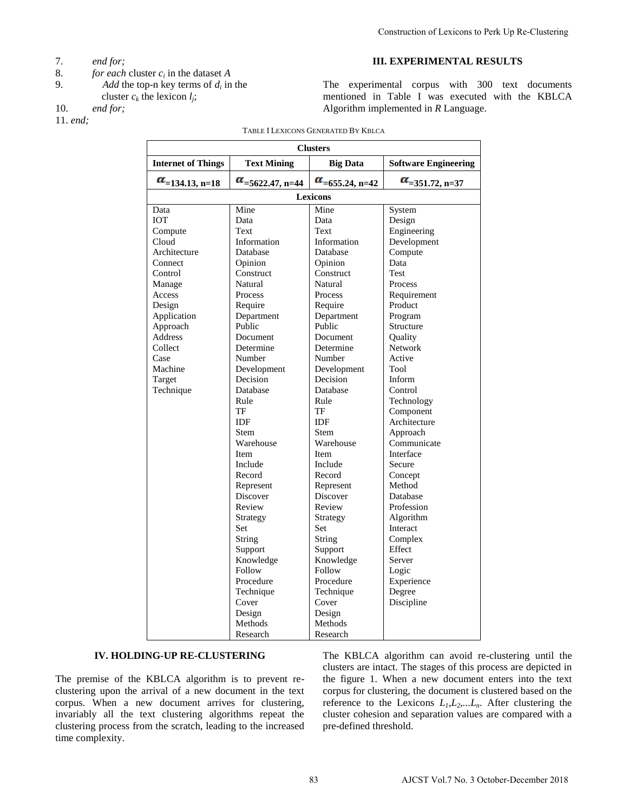- 7. *end for;*
- 8. *for each* cluster  $c_i$  in the dataset *A*
- 9. Add the top-n key terms of  $d_i$  in the
- cluster  $c_k$  the lexicon  $l_j$ ;
- 10. *end for;*
- 11. *end;*

## **III. EXPERIMENTAL RESULTS**

| TABLE I LEXICONS GENERATED BY KBLCA<br><b>Clusters</b><br><b>Internet of Things</b><br><b>Text Mining</b><br>$\alpha$ <sub>=5622.47, n=44</sub><br>$\alpha$ <sub>=134.13</sub> , n=18<br>Lexicons<br>Mine<br>Data<br><b>IOT</b><br>Data<br>Text<br>Compute<br>Cloud<br>Information<br>Architecture<br>Database<br>Opinion<br>Connect<br>Construct<br>Control<br>Natural<br>Manage | <b>Big Data</b><br>$\alpha$ <sub>=655.24, n=42</sub><br>Mine<br>Data<br>Text<br>Information<br>Database | <b>Software Engineering</b><br>$\alpha$ <sub>=351.72</sub> , n=37<br>System<br>Design                                                                                                                                                                                                                                                                                             |  |
|-----------------------------------------------------------------------------------------------------------------------------------------------------------------------------------------------------------------------------------------------------------------------------------------------------------------------------------------------------------------------------------|---------------------------------------------------------------------------------------------------------|-----------------------------------------------------------------------------------------------------------------------------------------------------------------------------------------------------------------------------------------------------------------------------------------------------------------------------------------------------------------------------------|--|
|                                                                                                                                                                                                                                                                                                                                                                                   |                                                                                                         |                                                                                                                                                                                                                                                                                                                                                                                   |  |
|                                                                                                                                                                                                                                                                                                                                                                                   |                                                                                                         |                                                                                                                                                                                                                                                                                                                                                                                   |  |
|                                                                                                                                                                                                                                                                                                                                                                                   |                                                                                                         |                                                                                                                                                                                                                                                                                                                                                                                   |  |
|                                                                                                                                                                                                                                                                                                                                                                                   |                                                                                                         |                                                                                                                                                                                                                                                                                                                                                                                   |  |
|                                                                                                                                                                                                                                                                                                                                                                                   |                                                                                                         |                                                                                                                                                                                                                                                                                                                                                                                   |  |
|                                                                                                                                                                                                                                                                                                                                                                                   |                                                                                                         |                                                                                                                                                                                                                                                                                                                                                                                   |  |
|                                                                                                                                                                                                                                                                                                                                                                                   |                                                                                                         | Engineering                                                                                                                                                                                                                                                                                                                                                                       |  |
|                                                                                                                                                                                                                                                                                                                                                                                   |                                                                                                         | Development                                                                                                                                                                                                                                                                                                                                                                       |  |
|                                                                                                                                                                                                                                                                                                                                                                                   |                                                                                                         | Compute                                                                                                                                                                                                                                                                                                                                                                           |  |
|                                                                                                                                                                                                                                                                                                                                                                                   | Opinion                                                                                                 | Data                                                                                                                                                                                                                                                                                                                                                                              |  |
|                                                                                                                                                                                                                                                                                                                                                                                   | Construct                                                                                               | Test                                                                                                                                                                                                                                                                                                                                                                              |  |
|                                                                                                                                                                                                                                                                                                                                                                                   | Natural                                                                                                 | <b>Process</b>                                                                                                                                                                                                                                                                                                                                                                    |  |
| Access<br>Process                                                                                                                                                                                                                                                                                                                                                                 | Process                                                                                                 | Requirement                                                                                                                                                                                                                                                                                                                                                                       |  |
| Design<br>Require<br>Application<br>Department                                                                                                                                                                                                                                                                                                                                    | Require<br>Department                                                                                   | Product<br>Program                                                                                                                                                                                                                                                                                                                                                                |  |
| Public<br>Approach                                                                                                                                                                                                                                                                                                                                                                | Public                                                                                                  | Structure                                                                                                                                                                                                                                                                                                                                                                         |  |
| Address<br>Document                                                                                                                                                                                                                                                                                                                                                               | Document                                                                                                | Quality                                                                                                                                                                                                                                                                                                                                                                           |  |
| Collect<br>Determine                                                                                                                                                                                                                                                                                                                                                              | Determine                                                                                               | <b>Network</b>                                                                                                                                                                                                                                                                                                                                                                    |  |
| Case<br>Number                                                                                                                                                                                                                                                                                                                                                                    | Number                                                                                                  | Active                                                                                                                                                                                                                                                                                                                                                                            |  |
| Machine<br>Development                                                                                                                                                                                                                                                                                                                                                            | Development                                                                                             | Tool                                                                                                                                                                                                                                                                                                                                                                              |  |
| Decision<br>Target                                                                                                                                                                                                                                                                                                                                                                | Decision                                                                                                | Inform                                                                                                                                                                                                                                                                                                                                                                            |  |
| Technique<br>Database<br>Rule                                                                                                                                                                                                                                                                                                                                                     | Database<br>Rule                                                                                        | Control<br>Technology                                                                                                                                                                                                                                                                                                                                                             |  |
| TF<br>TF                                                                                                                                                                                                                                                                                                                                                                          |                                                                                                         | Component                                                                                                                                                                                                                                                                                                                                                                         |  |
| IDF                                                                                                                                                                                                                                                                                                                                                                               | IDF                                                                                                     | Architecture                                                                                                                                                                                                                                                                                                                                                                      |  |
| <b>Stem</b>                                                                                                                                                                                                                                                                                                                                                                       | <b>Stem</b>                                                                                             | Approach                                                                                                                                                                                                                                                                                                                                                                          |  |
| Warehouse                                                                                                                                                                                                                                                                                                                                                                         | Warehouse                                                                                               | Communicate                                                                                                                                                                                                                                                                                                                                                                       |  |
| Item                                                                                                                                                                                                                                                                                                                                                                              | Item                                                                                                    | Interface                                                                                                                                                                                                                                                                                                                                                                         |  |
| Include                                                                                                                                                                                                                                                                                                                                                                           | Include                                                                                                 | Secure                                                                                                                                                                                                                                                                                                                                                                            |  |
| Record                                                                                                                                                                                                                                                                                                                                                                            | Record                                                                                                  | Concept<br>Method                                                                                                                                                                                                                                                                                                                                                                 |  |
| Represent<br>Discover                                                                                                                                                                                                                                                                                                                                                             | Represent<br>Discover                                                                                   | Database                                                                                                                                                                                                                                                                                                                                                                          |  |
| Review                                                                                                                                                                                                                                                                                                                                                                            | Review                                                                                                  | Profession                                                                                                                                                                                                                                                                                                                                                                        |  |
| Strategy                                                                                                                                                                                                                                                                                                                                                                          | Strategy                                                                                                | Algorithm                                                                                                                                                                                                                                                                                                                                                                         |  |
| Set                                                                                                                                                                                                                                                                                                                                                                               | Set                                                                                                     | Interact                                                                                                                                                                                                                                                                                                                                                                          |  |
| String                                                                                                                                                                                                                                                                                                                                                                            | <b>String</b>                                                                                           | Complex                                                                                                                                                                                                                                                                                                                                                                           |  |
| Support                                                                                                                                                                                                                                                                                                                                                                           | Support                                                                                                 | Effect                                                                                                                                                                                                                                                                                                                                                                            |  |
| Knowledge<br>Follow                                                                                                                                                                                                                                                                                                                                                               | Knowledge<br>Follow                                                                                     | Server<br>Logic                                                                                                                                                                                                                                                                                                                                                                   |  |
| Procedure                                                                                                                                                                                                                                                                                                                                                                         | Procedure                                                                                               | Experience                                                                                                                                                                                                                                                                                                                                                                        |  |
| Technique                                                                                                                                                                                                                                                                                                                                                                         | Technique                                                                                               | Degree                                                                                                                                                                                                                                                                                                                                                                            |  |
| Cover                                                                                                                                                                                                                                                                                                                                                                             | Cover                                                                                                   | Discipline                                                                                                                                                                                                                                                                                                                                                                        |  |
| Design                                                                                                                                                                                                                                                                                                                                                                            | Design                                                                                                  |                                                                                                                                                                                                                                                                                                                                                                                   |  |
| Methods                                                                                                                                                                                                                                                                                                                                                                           | Methods                                                                                                 |                                                                                                                                                                                                                                                                                                                                                                                   |  |
| Research                                                                                                                                                                                                                                                                                                                                                                          | Research                                                                                                |                                                                                                                                                                                                                                                                                                                                                                                   |  |
| <b>NG-UP RE-CLUSTERING</b><br>KBLCA algorithm is to prevent re-<br>rival of a new document in the text<br>w document arrives for clustering,<br>xt clustering algorithms repeat the<br>in the scratch, leading to the increased                                                                                                                                                   | pre-defined threshold.                                                                                  | The KBLCA algorithm can avoid re-clustering until the<br>clusters are intact. The stages of this process are depicted in<br>the figure 1. When a new document enters into the tex<br>corpus for clustering, the document is clustered based on the<br>reference to the Lexicons $L_1, L_2,L_n$ . After clustering the<br>cluster cohesion and separation values are compared with |  |

## **IV. HOLDING-UP RE-CLUSTERING**

The premise of the KBLCA algorithm is to prevent reclustering upon the arrival of a new document in the text corpus. When a new document arrives for clustering, invariably all the text clustering algorithms repeat the clustering process from the scratch, leading to the increased time complexity.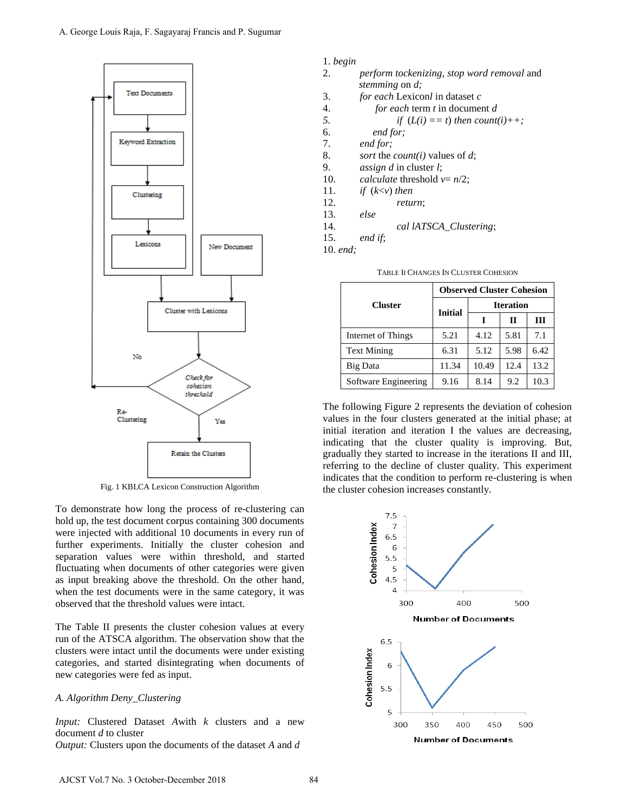

Fig. 1 KBLCA Lexicon Construction Algorithm

To demonstrate how long the process of re-clustering can hold up, the test document corpus containing 300 documents were injected with additional 10 documents in every run of further experiments. Initially the cluster cohesion and separation values were within threshold, and started fluctuating when documents of other categories were given as input breaking above the threshold. On the other hand, when the test documents were in the same category, it was observed that the threshold values were intact.

The Table II presents the cluster cohesion values at every run of the ATSCA algorithm. The observation show that the clusters were intact until the documents were under existing categories, and started disintegrating when documents of new categories were fed as input.

### *A. Algorithm Deny\_Clustering*

*Input:* Clustered Dataset *A*with *k* clusters and a new document *d* to cluster *Output:* Clusters upon the documents of the dataset *A* and *d*

#### 1. *begin*

- 2. *perform tockenizing*, *stop word removal* and *stemming* on *d;*
- 3. *for each* Lexicon*l* in dataset *c*
- 4. *for each* term *t* in document *d*

5. if 
$$
(L(i) == t)
$$
 then count(i)++;

- 6. *end for;*
- 7. *end for;*
- 8. *sort* the *count(i)* values of *d*;
- 9. *assign d* in cluster *l*;
- 10. *calculate* threshold  $v = n/2$ ;
- 11. *if* (*k*<*v*) *then*
- 12. *return*;

13. *else*

14. *cal lATSCA\_Clustering*;

15. *end if*;

10. *end;*

| <b>Cluster</b>       | <b>Observed Cluster Cohesion</b> |                  |      |      |  |
|----------------------|----------------------------------|------------------|------|------|--|
|                      | <b>Initial</b>                   | <b>Iteration</b> |      |      |  |
|                      |                                  |                  | П    | Ш    |  |
| Internet of Things   | 5.21                             | 4.12             | 5.81 | 7.1  |  |
| <b>Text Mining</b>   | 6.31                             | 5.12             | 5.98 | 6.42 |  |
| Big Data             | 11.34                            | 10.49            | 12.4 | 13.2 |  |
| Software Engineering | 9.16                             | 8.14             | 9.2  | 10.3 |  |

TABLE II CHANGES IN CLUSTER COHESION

The following Figure 2 represents the deviation of cohesion values in the four clusters generated at the initial phase; at initial iteration and iteration I the values are decreasing, indicating that the cluster quality is improving. But, gradually they started to increase in the iterations II and III, referring to the decline of cluster quality. This experiment indicates that the condition to perform re-clustering is when the cluster cohesion increases constantly.